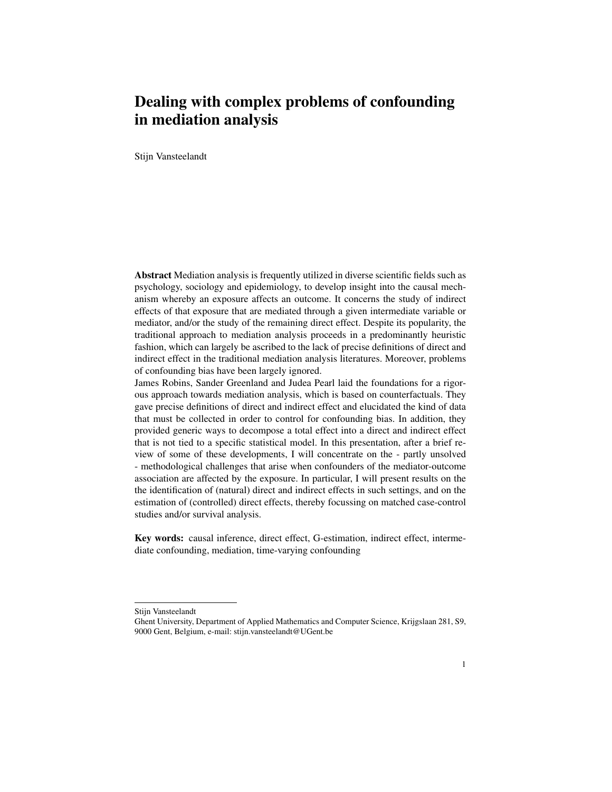# Dealing with complex problems of confounding in mediation analysis

Stijn Vansteelandt

Abstract Mediation analysis is frequently utilized in diverse scientific fields such as psychology, sociology and epidemiology, to develop insight into the causal mechanism whereby an exposure affects an outcome. It concerns the study of indirect effects of that exposure that are mediated through a given intermediate variable or mediator, and/or the study of the remaining direct effect. Despite its popularity, the traditional approach to mediation analysis proceeds in a predominantly heuristic fashion, which can largely be ascribed to the lack of precise definitions of direct and indirect effect in the traditional mediation analysis literatures. Moreover, problems of confounding bias have been largely ignored.

James Robins, Sander Greenland and Judea Pearl laid the foundations for a rigorous approach towards mediation analysis, which is based on counterfactuals. They gave precise definitions of direct and indirect effect and elucidated the kind of data that must be collected in order to control for confounding bias. In addition, they provided generic ways to decompose a total effect into a direct and indirect effect that is not tied to a specific statistical model. In this presentation, after a brief review of some of these developments, I will concentrate on the - partly unsolved - methodological challenges that arise when confounders of the mediator-outcome association are affected by the exposure. In particular, I will present results on the the identification of (natural) direct and indirect effects in such settings, and on the estimation of (controlled) direct effects, thereby focussing on matched case-control studies and/or survival analysis.

Key words: causal inference, direct effect, G-estimation, indirect effect, intermediate confounding, mediation, time-varying confounding

Stijn Vansteelandt

Ghent University, Department of Applied Mathematics and Computer Science, Krijgslaan 281, S9, 9000 Gent, Belgium, e-mail: stijn.vansteelandt@UGent.be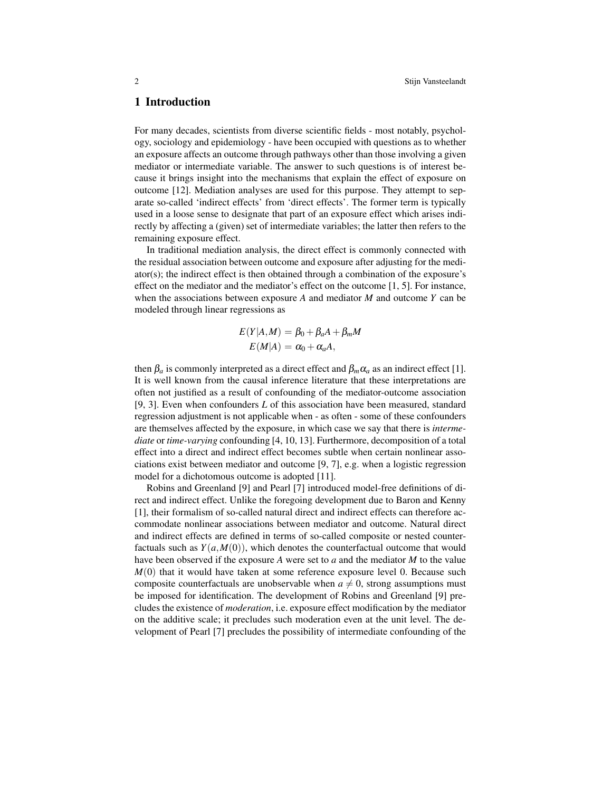### 1 Introduction

For many decades, scientists from diverse scientific fields - most notably, psychology, sociology and epidemiology - have been occupied with questions as to whether an exposure affects an outcome through pathways other than those involving a given mediator or intermediate variable. The answer to such questions is of interest because it brings insight into the mechanisms that explain the effect of exposure on outcome [12]. Mediation analyses are used for this purpose. They attempt to separate so-called 'indirect effects' from 'direct effects'. The former term is typically used in a loose sense to designate that part of an exposure effect which arises indirectly by affecting a (given) set of intermediate variables; the latter then refers to the remaining exposure effect.

In traditional mediation analysis, the direct effect is commonly connected with the residual association between outcome and exposure after adjusting for the mediator(s); the indirect effect is then obtained through a combination of the exposure's effect on the mediator and the mediator's effect on the outcome [1, 5]. For instance, when the associations between exposure *A* and mediator *M* and outcome *Y* can be modeled through linear regressions as

$$
E(Y|A,M) = \beta_0 + \beta_a A + \beta_m M
$$
  

$$
E(M|A) = \alpha_0 + \alpha_a A,
$$

then  $\beta_a$  is commonly interpreted as a direct effect and  $\beta_m \alpha_a$  as an indirect effect [1]. It is well known from the causal inference literature that these interpretations are often not justified as a result of confounding of the mediator-outcome association [9, 3]. Even when confounders *L* of this association have been measured, standard regression adjustment is not applicable when - as often - some of these confounders are themselves affected by the exposure, in which case we say that there is *intermediate* or *time-varying* confounding [4, 10, 13]. Furthermore, decomposition of a total effect into a direct and indirect effect becomes subtle when certain nonlinear associations exist between mediator and outcome [9, 7], e.g. when a logistic regression model for a dichotomous outcome is adopted [11].

Robins and Greenland [9] and Pearl [7] introduced model-free definitions of direct and indirect effect. Unlike the foregoing development due to Baron and Kenny [1], their formalism of so-called natural direct and indirect effects can therefore accommodate nonlinear associations between mediator and outcome. Natural direct and indirect effects are defined in terms of so-called composite or nested counterfactuals such as  $Y(a,M(0))$ , which denotes the counterfactual outcome that would have been observed if the exposure *A* were set to *a* and the mediator *M* to the value  $M(0)$  that it would have taken at some reference exposure level 0. Because such composite counterfactuals are unobservable when  $a \neq 0$ , strong assumptions must be imposed for identification. The development of Robins and Greenland [9] precludes the existence of *moderation*, i.e. exposure effect modification by the mediator on the additive scale; it precludes such moderation even at the unit level. The development of Pearl [7] precludes the possibility of intermediate confounding of the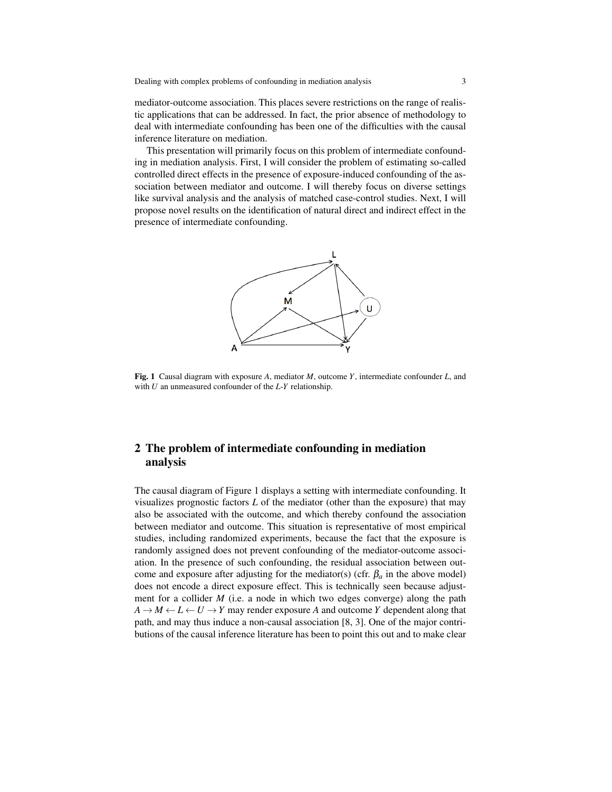mediator-outcome association. This places severe restrictions on the range of realistic applications that can be addressed. In fact, the prior absence of methodology to deal with intermediate confounding has been one of the difficulties with the causal inference literature on mediation.

This presentation will primarily focus on this problem of intermediate confounding in mediation analysis. First, I will consider the problem of estimating so-called controlled direct effects in the presence of exposure-induced confounding of the association between mediator and outcome. I will thereby focus on diverse settings like survival analysis and the analysis of matched case-control studies. Next, I will propose novel results on the identification of natural direct and indirect effect in the presence of intermediate confounding.



Fig. 1 Causal diagram with exposure *A*, mediator *M*, outcome *Y*, intermediate confounder *L*, and with *U* an unmeasured confounder of the *L*-*Y* relationship.

## 2 The problem of intermediate confounding in mediation analysis

The causal diagram of Figure 1 displays a setting with intermediate confounding. It visualizes prognostic factors *L* of the mediator (other than the exposure) that may also be associated with the outcome, and which thereby confound the association between mediator and outcome. This situation is representative of most empirical studies, including randomized experiments, because the fact that the exposure is randomly assigned does not prevent confounding of the mediator-outcome association. In the presence of such confounding, the residual association between outcome and exposure after adjusting for the mediator(s) (cfr.  $\beta_a$  in the above model) does not encode a direct exposure effect. This is technically seen because adjustment for a collider *M* (i.e. a node in which two edges converge) along the path  $A \rightarrow M \leftarrow L \leftarrow U \rightarrow Y$  may render exposure *A* and outcome *Y* dependent along that path, and may thus induce a non-causal association [8, 3]. One of the major contributions of the causal inference literature has been to point this out and to make clear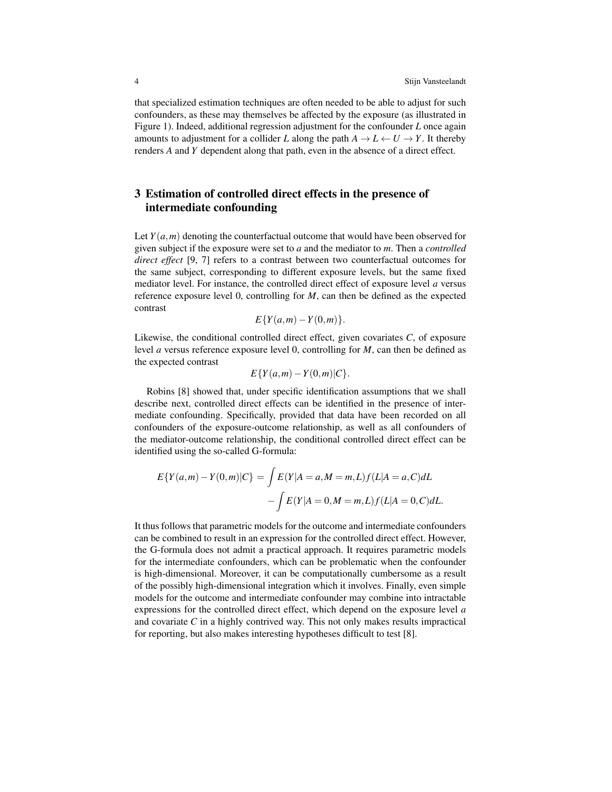that specialized estimation techniques are often needed to be able to adjust for such confounders, as these may themselves be affected by the exposure (as illustrated in Figure 1). Indeed, additional regression adjustment for the confounder *L* once again amounts to adjustment for a collider *L* along the path  $A \to L \leftarrow U \to Y$ . It thereby renders *A* and *Y* dependent along that path, even in the absence of a direct effect.

# 3 Estimation of controlled direct effects in the presence of intermediate confounding

Let  $Y(a,m)$  denoting the counterfactual outcome that would have been observed for given subject if the exposure were set to *a* and the mediator to *m*. Then a *controlled direct effect* [9, 7] refers to a contrast between two counterfactual outcomes for the same subject, corresponding to different exposure levels, but the same fixed mediator level. For instance, the controlled direct effect of exposure level *a* versus reference exposure level 0, controlling for *M*, can then be defined as the expected contrast

$$
E\{Y(a,m)-Y(0,m)\}.
$$

Likewise, the conditional controlled direct effect, given covariates *C*, of exposure level *a* versus reference exposure level 0, controlling for *M*, can then be defined as the expected contrast

$$
E\{Y(a,m)-Y(0,m)|C\}.
$$

Robins [8] showed that, under specific identification assumptions that we shall describe next, controlled direct effects can be identified in the presence of intermediate confounding. Specifically, provided that data have been recorded on all confounders of the exposure-outcome relationship, as well as all confounders of the mediator-outcome relationship, the conditional controlled direct effect can be identified using the so-called G-formula:

$$
E\{Y(a,m) - Y(0,m)|C\} = \int E(Y|A = a, M = m, L)f(L|A = a, C)dL
$$

$$
- \int E(Y|A = 0, M = m, L)f(L|A = 0, C)dL.
$$

It thus follows that parametric models for the outcome and intermediate confounders can be combined to result in an expression for the controlled direct effect. However, the G-formula does not admit a practical approach. It requires parametric models for the intermediate confounders, which can be problematic when the confounder is high-dimensional. Moreover, it can be computationally cumbersome as a result of the possibly high-dimensional integration which it involves. Finally, even simple models for the outcome and intermediate confounder may combine into intractable expressions for the controlled direct effect, which depend on the exposure level *a* and covariate *C* in a highly contrived way. This not only makes results impractical for reporting, but also makes interesting hypotheses difficult to test [8].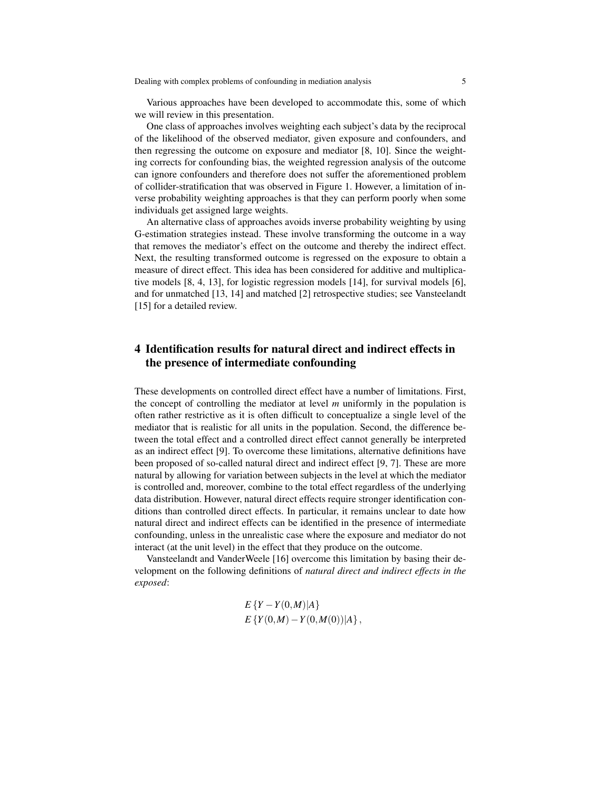Various approaches have been developed to accommodate this, some of which we will review in this presentation.

One class of approaches involves weighting each subject's data by the reciprocal of the likelihood of the observed mediator, given exposure and confounders, and then regressing the outcome on exposure and mediator [8, 10]. Since the weighting corrects for confounding bias, the weighted regression analysis of the outcome can ignore confounders and therefore does not suffer the aforementioned problem of collider-stratification that was observed in Figure 1. However, a limitation of inverse probability weighting approaches is that they can perform poorly when some individuals get assigned large weights.

An alternative class of approaches avoids inverse probability weighting by using G-estimation strategies instead. These involve transforming the outcome in a way that removes the mediator's effect on the outcome and thereby the indirect effect. Next, the resulting transformed outcome is regressed on the exposure to obtain a measure of direct effect. This idea has been considered for additive and multiplicative models [8, 4, 13], for logistic regression models [14], for survival models [6], and for unmatched [13, 14] and matched [2] retrospective studies; see Vansteelandt [15] for a detailed review.

## 4 Identification results for natural direct and indirect effects in the presence of intermediate confounding

These developments on controlled direct effect have a number of limitations. First, the concept of controlling the mediator at level *m* uniformly in the population is often rather restrictive as it is often difficult to conceptualize a single level of the mediator that is realistic for all units in the population. Second, the difference between the total effect and a controlled direct effect cannot generally be interpreted as an indirect effect [9]. To overcome these limitations, alternative definitions have been proposed of so-called natural direct and indirect effect [9, 7]. These are more natural by allowing for variation between subjects in the level at which the mediator is controlled and, moreover, combine to the total effect regardless of the underlying data distribution. However, natural direct effects require stronger identification conditions than controlled direct effects. In particular, it remains unclear to date how natural direct and indirect effects can be identified in the presence of intermediate confounding, unless in the unrealistic case where the exposure and mediator do not interact (at the unit level) in the effect that they produce on the outcome.

Vansteelandt and VanderWeele [16] overcome this limitation by basing their development on the following definitions of *natural direct and indirect effects in the exposed*:

$$
E\left\{Y - Y(0,M)|A\right\}
$$
  

$$
E\left\{Y(0,M) - Y(0,M(0))|A\right\},\,
$$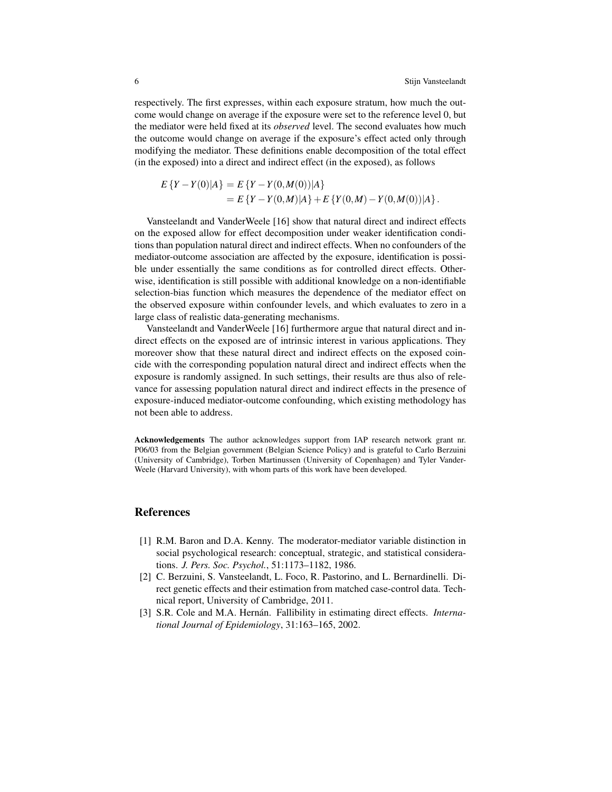respectively. The first expresses, within each exposure stratum, how much the outcome would change on average if the exposure were set to the reference level 0, but the mediator were held fixed at its *observed* level. The second evaluates how much the outcome would change on average if the exposure's effect acted only through modifying the mediator. These definitions enable decomposition of the total effect (in the exposed) into a direct and indirect effect (in the exposed), as follows

$$
E\{Y - Y(0)|A\} = E\{Y - Y(0,M(0))|A\}
$$
  
= 
$$
E\{Y - Y(0,M)|A\} + E\{Y(0,M) - Y(0,M(0))|A\}.
$$

Vansteelandt and VanderWeele [16] show that natural direct and indirect effects on the exposed allow for effect decomposition under weaker identification conditions than population natural direct and indirect effects. When no confounders of the mediator-outcome association are affected by the exposure, identification is possible under essentially the same conditions as for controlled direct effects. Otherwise, identification is still possible with additional knowledge on a non-identifiable selection-bias function which measures the dependence of the mediator effect on the observed exposure within confounder levels, and which evaluates to zero in a large class of realistic data-generating mechanisms.

Vansteelandt and VanderWeele [16] furthermore argue that natural direct and indirect effects on the exposed are of intrinsic interest in various applications. They moreover show that these natural direct and indirect effects on the exposed coincide with the corresponding population natural direct and indirect effects when the exposure is randomly assigned. In such settings, their results are thus also of relevance for assessing population natural direct and indirect effects in the presence of exposure-induced mediator-outcome confounding, which existing methodology has not been able to address.

Acknowledgements The author acknowledges support from IAP research network grant nr. P06/03 from the Belgian government (Belgian Science Policy) and is grateful to Carlo Berzuini (University of Cambridge), Torben Martinussen (University of Copenhagen) and Tyler Vander-Weele (Harvard University), with whom parts of this work have been developed.

### References

- [1] R.M. Baron and D.A. Kenny. The moderator-mediator variable distinction in social psychological research: conceptual, strategic, and statistical considerations. *J. Pers. Soc. Psychol.*, 51:1173–1182, 1986.
- [2] C. Berzuini, S. Vansteelandt, L. Foco, R. Pastorino, and L. Bernardinelli. Direct genetic effects and their estimation from matched case-control data. Technical report, University of Cambridge, 2011.
- [3] S.R. Cole and M.A. Hernán. Fallibility in estimating direct effects. *International Journal of Epidemiology*, 31:163–165, 2002.